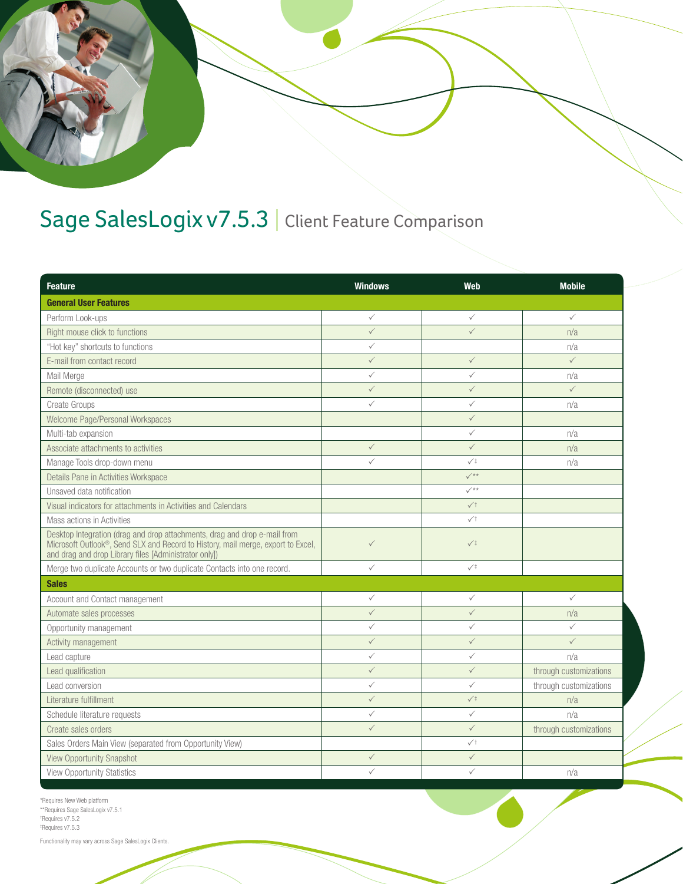

## Sage SalesLogix v7.5.3 | Client Feature Comparison

| <b>Feature</b>                                                                                                                                                                                                         | <b>Windows</b> | Web             | <b>Mobile</b>          |  |
|------------------------------------------------------------------------------------------------------------------------------------------------------------------------------------------------------------------------|----------------|-----------------|------------------------|--|
| <b>General User Features</b>                                                                                                                                                                                           |                |                 |                        |  |
| Perform Look-ups                                                                                                                                                                                                       | $\checkmark$   | $\checkmark$    | $\checkmark$           |  |
| Right mouse click to functions                                                                                                                                                                                         | $\checkmark$   | $\checkmark$    | n/a                    |  |
| "Hot key" shortcuts to functions                                                                                                                                                                                       | ✓              |                 | n/a                    |  |
| E-mail from contact record                                                                                                                                                                                             | $\checkmark$   | $\checkmark$    | $\checkmark$           |  |
| Mail Merge                                                                                                                                                                                                             | $\checkmark$   | ✓               | n/a                    |  |
| Remote (disconnected) use                                                                                                                                                                                              | $\checkmark$   | $\checkmark$    | $\checkmark$           |  |
| <b>Create Groups</b>                                                                                                                                                                                                   | $\checkmark$   | $\checkmark$    | n/a                    |  |
| Welcome Page/Personal Workspaces                                                                                                                                                                                       |                | $\checkmark$    |                        |  |
| Multi-tab expansion                                                                                                                                                                                                    |                | $\checkmark$    | n/a                    |  |
| Associate attachments to activities                                                                                                                                                                                    | $\checkmark$   | $\checkmark$    | n/a                    |  |
| Manage Tools drop-down menu                                                                                                                                                                                            | $\checkmark$   | $\checkmark$    | n/a                    |  |
| Details Pane in Activities Workspace                                                                                                                                                                                   |                | $\checkmark$    |                        |  |
| Unsaved data notification                                                                                                                                                                                              |                | $\checkmark$    |                        |  |
| Visual indicators for attachments in Activities and Calendars                                                                                                                                                          |                | $\surd\uparrow$ |                        |  |
| Mass actions in Activities                                                                                                                                                                                             |                | $\checkmark$    |                        |  |
| Desktop Integration (drag and drop attachments, drag and drop e-mail from<br>Microsoft Outlook®, Send SLX and Record to History, mail merge, export to Excel,<br>and drag and drop Library files [Administrator only]) | $\checkmark$   | $\checkmark$    |                        |  |
| Merge two duplicate Accounts or two duplicate Contacts into one record.                                                                                                                                                | $\checkmark$   | $\checkmark$    |                        |  |
| <b>Sales</b>                                                                                                                                                                                                           |                |                 |                        |  |
| Account and Contact management                                                                                                                                                                                         | $\checkmark$   | $\checkmark$    | $\checkmark$           |  |
| Automate sales processes                                                                                                                                                                                               | $\checkmark$   | $\checkmark$    | n/a                    |  |
| Opportunity management                                                                                                                                                                                                 | ✓              | $\checkmark$    | $\checkmark$           |  |
| Activity management                                                                                                                                                                                                    | $\checkmark$   | $\checkmark$    | $\checkmark$           |  |
| Lead capture                                                                                                                                                                                                           | $\checkmark$   | $\checkmark$    | n/a                    |  |
| Lead qualification                                                                                                                                                                                                     | $\checkmark$   | $\checkmark$    | through customizations |  |
| Lead conversion                                                                                                                                                                                                        | $\checkmark$   | ✓               | through customizations |  |
| Literature fulfillment                                                                                                                                                                                                 | $\checkmark$   | $\sqrt{1}$      | n/a                    |  |
| Schedule literature requests                                                                                                                                                                                           | $\checkmark$   | $\checkmark$    | n/a                    |  |
| Create sales orders                                                                                                                                                                                                    | $\checkmark$   | $\checkmark$    | through customizations |  |
| Sales Orders Main View (separated from Opportunity View)                                                                                                                                                               |                | $\checkmark$    |                        |  |
| <b>View Opportunity Snapshot</b>                                                                                                                                                                                       | $\checkmark$   | $\checkmark$    |                        |  |
| <b>View Opportunity Statistics</b>                                                                                                                                                                                     | $\checkmark$   | $\checkmark$    | n/a                    |  |

\*Requires New Web platform \*\*Requires Sage SalesLogix v7.5.1 † Requires v7.5.2 ‡ Requires v7.5.3

Functionality may vary across Sage SalesLogix Clients.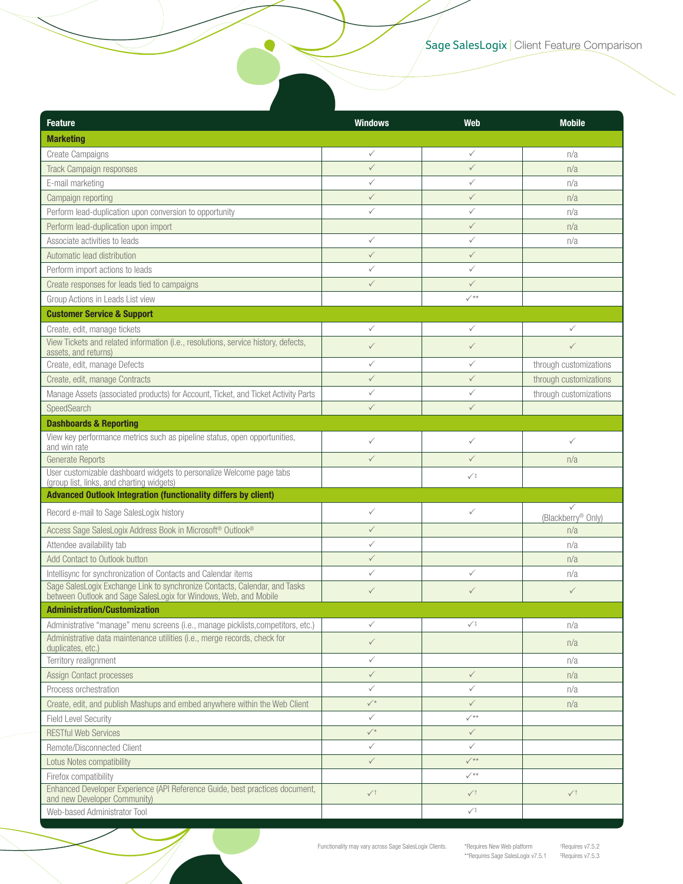| <b>Feature</b>                                                                                                                                 | <b>Windows</b> | <b>Web</b>      | <b>Mobile</b>           |
|------------------------------------------------------------------------------------------------------------------------------------------------|----------------|-----------------|-------------------------|
| <b>Marketing</b>                                                                                                                               |                |                 |                         |
| <b>Create Campaigns</b>                                                                                                                        | $\checkmark$   | ✓               | n/a                     |
| <b>Track Campaign responses</b>                                                                                                                | $\checkmark$   | $\checkmark$    | n/a                     |
| E-mail marketing                                                                                                                               | $\checkmark$   | ✓               | n/a                     |
| Campaign reporting                                                                                                                             | $\checkmark$   | $\checkmark$    | n/a                     |
| Perform lead-duplication upon conversion to opportunity                                                                                        | $\checkmark$   | $\checkmark$    | n/a                     |
| Perform lead-duplication upon import                                                                                                           |                | $\checkmark$    | n/a                     |
| Associate activities to leads                                                                                                                  | $\checkmark$   | ✓               | n/a                     |
| Automatic lead distribution                                                                                                                    | $\checkmark$   | $\checkmark$    |                         |
| Perform import actions to leads                                                                                                                | ✓              | ✓               |                         |
| Create responses for leads tied to campaigns                                                                                                   | $\checkmark$   | $\checkmark$    |                         |
| Group Actions in Leads List view                                                                                                               |                | $\checkmark$    |                         |
| <b>Customer Service &amp; Support</b>                                                                                                          |                |                 |                         |
| Create, edit, manage tickets                                                                                                                   | $\checkmark$   | $\checkmark$    | ✓                       |
| View Tickets and related information (i.e., resolutions, service history, defects,<br>assets, and returns)                                     | $\checkmark$   | $\checkmark$    | $\checkmark$            |
| Create, edit, manage Defects                                                                                                                   | $\checkmark$   | $\checkmark$    | through customizations  |
| Create, edit, manage Contracts                                                                                                                 | $\checkmark$   | $\checkmark$    | through customizations  |
| Manage Assets (associated products) for Account, Ticket, and Ticket Activity Parts                                                             | $\checkmark$   | $\checkmark$    | through customizations  |
| SpeedSearch                                                                                                                                    | $\checkmark$   | $\checkmark$    |                         |
| <b>Dashboards &amp; Reporting</b>                                                                                                              |                |                 |                         |
| View key performance metrics such as pipeline status, open opportunities,<br>and win rate                                                      | $\checkmark$   | $\checkmark$    | $\checkmark$            |
| Generate Reports                                                                                                                               | $\checkmark$   | $\checkmark$    | n/a                     |
| User customizable dashboard widgets to personalize Welcome page tabs<br>(group list, links, and charting widgets)                              |                | $\checkmark$    |                         |
| Advanced Outlook Integration (functionality differs by client)                                                                                 |                |                 |                         |
| Record e-mail to Sage SalesLogix history                                                                                                       | $\checkmark$   | $\checkmark$    | ✓<br>(Blackberry® Only) |
| Access Sage SalesLogix Address Book in Microsoft <sup>®</sup> Outlook <sup>®</sup>                                                             | $\checkmark$   |                 | n/a                     |
| Attendee availability tab                                                                                                                      | $\checkmark$   |                 | n/a                     |
| Add Contact to Outlook button                                                                                                                  | $\checkmark$   |                 | n/a                     |
| Intellisync for synchronization of Contacts and Calendar items                                                                                 | $\checkmark$   | ✓               | n/a                     |
| Sage SalesLogix Exchange Link to synchronize Contacts, Calendar, and Tasks<br>between Outlook and Sage SalesLogix for Windows, Web, and Mobile | $\checkmark$   | ✓               | $\checkmark$            |
| <b>Administration/Customization</b>                                                                                                            |                |                 |                         |
| Administrative "manage" menu screens (i.e., manage picklists, competitors, etc.)                                                               | $\checkmark$   | $\checkmark$    | n/a                     |
| Administrative data maintenance utilities (i.e., merge records, check for<br>duplicates, etc.)                                                 | $\checkmark$   |                 | n/a                     |
| Territory realignment                                                                                                                          | $\checkmark$   |                 | n/a                     |
| Assign Contact processes                                                                                                                       | $\checkmark$   | $\checkmark$    | n/a                     |
| Process orchestration                                                                                                                          | ✓              | ✓               | n/a                     |
| Create, edit, and publish Mashups and embed anywhere within the Web Client                                                                     | $\checkmark$   | $\checkmark$    | n/a                     |
| <b>Field Level Security</b>                                                                                                                    | $\checkmark$   | $\checkmark$    |                         |
| <b>RESTful Web Services</b>                                                                                                                    | $\checkmark$   | $\checkmark$    |                         |
| Remote/Disconnected Client                                                                                                                     | ✓              | $\checkmark$    |                         |
| Lotus Notes compatibility                                                                                                                      | $\checkmark$   | $\checkmark$ ** |                         |
| Firefox compatibility                                                                                                                          |                | $\checkmark$    |                         |
| Enhanced Developer Experience (API Reference Guide, best practices document,<br>and new Developer Community)                                   | $\sqrt{}$      | $\surd\uparrow$ | $\surd\uparrow$         |
| Web-based Administrator Tool                                                                                                                   |                | $\checkmark$    |                         |